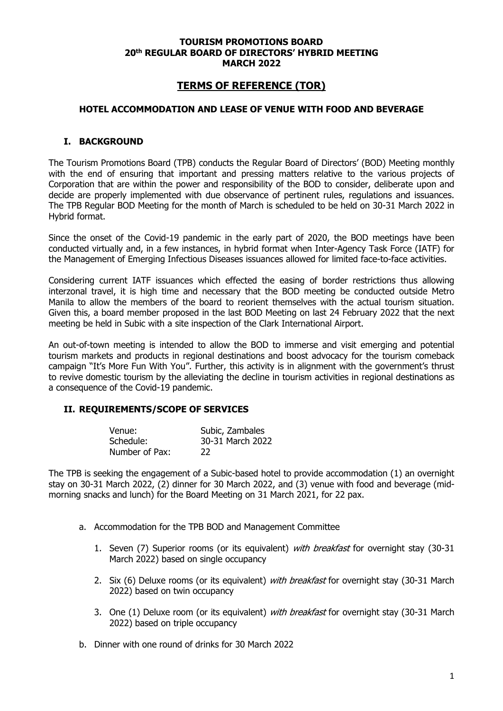#### **TOURISM PROMOTIONS BOARD 20th REGULAR BOARD OF DIRECTORS' HYBRID MEETING MARCH 2022**

# **TERMS OF REFERENCE (TOR)**

#### **HOTEL ACCOMMODATION AND LEASE OF VENUE WITH FOOD AND BEVERAGE**

#### **I. BACKGROUND**

The Tourism Promotions Board (TPB) conducts the Regular Board of Directors' (BOD) Meeting monthly with the end of ensuring that important and pressing matters relative to the various projects of Corporation that are within the power and responsibility of the BOD to consider, deliberate upon and decide are properly implemented with due observance of pertinent rules, regulations and issuances. The TPB Regular BOD Meeting for the month of March is scheduled to be held on 30-31 March 2022 in Hybrid format.

Since the onset of the Covid-19 pandemic in the early part of 2020, the BOD meetings have been conducted virtually and, in a few instances, in hybrid format when Inter-Agency Task Force (IATF) for the Management of Emerging Infectious Diseases issuances allowed for limited face-to-face activities.

Considering current IATF issuances which effected the easing of border restrictions thus allowing interzonal travel, it is high time and necessary that the BOD meeting be conducted outside Metro Manila to allow the members of the board to reorient themselves with the actual tourism situation. Given this, a board member proposed in the last BOD Meeting on last 24 February 2022 that the next meeting be held in Subic with a site inspection of the Clark International Airport.

An out-of-town meeting is intended to allow the BOD to immerse and visit emerging and potential tourism markets and products in regional destinations and boost advocacy for the tourism comeback campaign "It's More Fun With You". Further, this activity is in alignment with the government's thrust to revive domestic tourism by the alleviating the decline in tourism activities in regional destinations as a consequence of the Covid-19 pandemic.

### **II. REQUIREMENTS/SCOPE OF SERVICES**

| Venue:         | Subic, Zambales  |
|----------------|------------------|
| Schedule:      | 30-31 March 2022 |
| Number of Pax: | 22               |

The TPB is seeking the engagement of a Subic-based hotel to provide accommodation (1) an overnight stay on 30-31 March 2022, (2) dinner for 30 March 2022, and (3) venue with food and beverage (midmorning snacks and lunch) for the Board Meeting on 31 March 2021, for 22 pax.

- a. Accommodation for the TPB BOD and Management Committee
	- 1. Seven (7) Superior rooms (or its equivalent) with breakfast for overnight stay (30-31 March 2022) based on single occupancy
	- 2. Six (6) Deluxe rooms (or its equivalent) *with breakfast* for overnight stay (30-31 March 2022) based on twin occupancy
	- 3. One (1) Deluxe room (or its equivalent) with breakfast for overnight stay (30-31 March 2022) based on triple occupancy
- b. Dinner with one round of drinks for 30 March 2022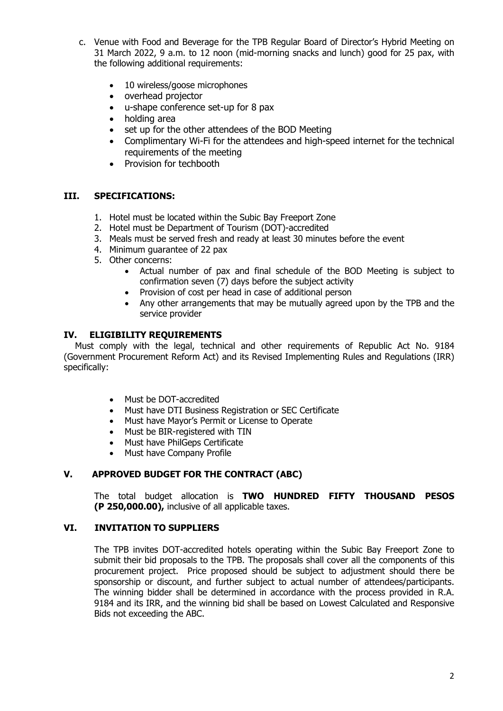- c. Venue with Food and Beverage for the TPB Regular Board of Director's Hybrid Meeting on 31 March 2022, 9 a.m. to 12 noon (mid-morning snacks and lunch) good for 25 pax, with the following additional requirements:
	- 10 wireless/goose microphones
	- overhead projector
	- u-shape conference set-up for 8 pax
	- holding area
	- set up for the other attendees of the BOD Meeting
	- Complimentary Wi-Fi for the attendees and high-speed internet for the technical requirements of the meeting
	- Provision for techbooth

### **III. SPECIFICATIONS:**

- 1. Hotel must be located within the Subic Bay Freeport Zone
- 2. Hotel must be Department of Tourism (DOT)-accredited
- 3. Meals must be served fresh and ready at least 30 minutes before the event
- 4. Minimum guarantee of 22 pax
- 5. Other concerns:
	- Actual number of pax and final schedule of the BOD Meeting is subject to confirmation seven (7) days before the subject activity
	- Provision of cost per head in case of additional person
	- Any other arrangements that may be mutually agreed upon by the TPB and the service provider

### **IV. ELIGIBILITY REQUIREMENTS**

 Must comply with the legal, technical and other requirements of Republic Act No. 9184 (Government Procurement Reform Act) and its Revised Implementing Rules and Regulations (IRR) specifically:

- Must be DOT-accredited
- Must have DTI Business Registration or SEC Certificate
- Must have Mayor's Permit or License to Operate
- Must be BIR-registered with TIN
- Must have PhilGeps Certificate
- Must have Company Profile

### **V. APPROVED BUDGET FOR THE CONTRACT (ABC)**

The total budget allocation is **TWO HUNDRED FIFTY THOUSAND PESOS (P 250,000.00),** inclusive of all applicable taxes.

## **VI. INVITATION TO SUPPLIERS**

The TPB invites DOT-accredited hotels operating within the Subic Bay Freeport Zone to submit their bid proposals to the TPB. The proposals shall cover all the components of this procurement project. Price proposed should be subject to adjustment should there be sponsorship or discount, and further subject to actual number of attendees/participants. The winning bidder shall be determined in accordance with the process provided in R.A. 9184 and its IRR, and the winning bid shall be based on Lowest Calculated and Responsive Bids not exceeding the ABC.